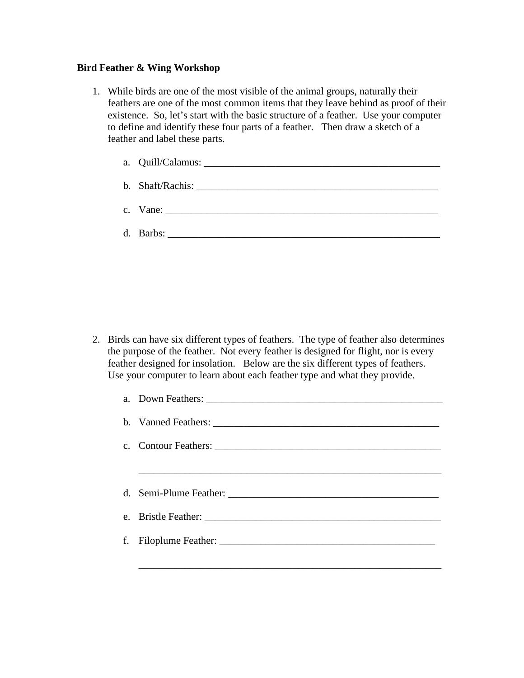## **Bird Feather & Wing Workshop**

1. While birds are one of the most visible of the animal groups, naturally their feathers are one of the most common items that they leave behind as proof of their existence. So, let's start with the basic structure of a feather. Use your computer to define and identify these four parts of a feather. Then draw a sketch of a feather and label these parts.

| c. Vane: $\frac{1}{\sqrt{1-\frac{1}{2}} \cdot \frac{1}{2}}$ |
|-------------------------------------------------------------|
|                                                             |

2. Birds can have six different types of feathers. The type of feather also determines the purpose of the feather. Not every feather is designed for flight, nor is every feather designed for insolation. Below are the six different types of feathers. Use your computer to learn about each feather type and what they provide.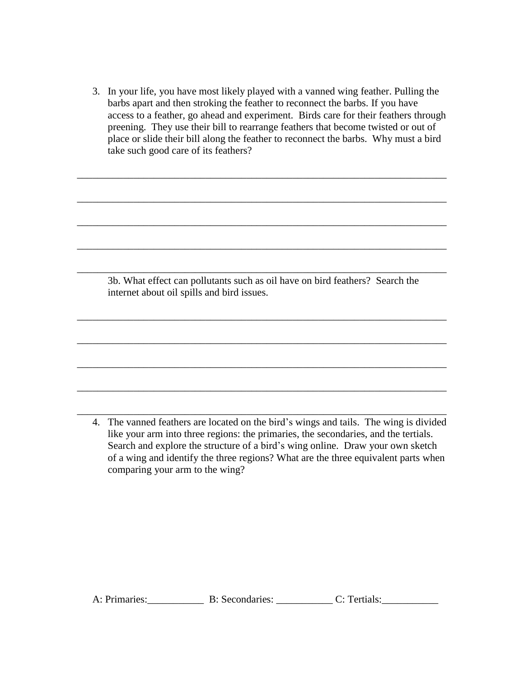3. In your life, you have most likely played with a vanned wing feather. Pulling the barbs apart and then stroking the feather to reconnect the barbs. If you have access to a feather, go ahead and experiment. Birds care for their feathers through preening. They use their bill to rearrange feathers that become twisted or out of place or slide their bill along the feather to reconnect the barbs. Why must a bird take such good care of its feathers?

\_\_\_\_\_\_\_\_\_\_\_\_\_\_\_\_\_\_\_\_\_\_\_\_\_\_\_\_\_\_\_\_\_\_\_\_\_\_\_\_\_\_\_\_\_\_\_\_\_\_\_\_\_\_\_\_\_\_\_\_\_\_\_\_\_\_\_\_\_\_\_\_

\_\_\_\_\_\_\_\_\_\_\_\_\_\_\_\_\_\_\_\_\_\_\_\_\_\_\_\_\_\_\_\_\_\_\_\_\_\_\_\_\_\_\_\_\_\_\_\_\_\_\_\_\_\_\_\_\_\_\_\_\_\_\_\_\_\_\_\_\_\_\_\_

\_\_\_\_\_\_\_\_\_\_\_\_\_\_\_\_\_\_\_\_\_\_\_\_\_\_\_\_\_\_\_\_\_\_\_\_\_\_\_\_\_\_\_\_\_\_\_\_\_\_\_\_\_\_\_\_\_\_\_\_\_\_\_\_\_\_\_\_\_\_\_\_

\_\_\_\_\_\_\_\_\_\_\_\_\_\_\_\_\_\_\_\_\_\_\_\_\_\_\_\_\_\_\_\_\_\_\_\_\_\_\_\_\_\_\_\_\_\_\_\_\_\_\_\_\_\_\_\_\_\_\_\_\_\_\_\_\_\_\_\_\_\_\_\_

\_\_\_\_\_\_\_\_\_\_\_\_\_\_\_\_\_\_\_\_\_\_\_\_\_\_\_\_\_\_\_\_\_\_\_\_\_\_\_\_\_\_\_\_\_\_\_\_\_\_\_\_\_\_\_\_\_\_\_\_\_\_\_\_\_\_\_\_\_\_\_\_

\_\_\_\_\_\_\_\_\_\_\_\_\_\_\_\_\_\_\_\_\_\_\_\_\_\_\_\_\_\_\_\_\_\_\_\_\_\_\_\_\_\_\_\_\_\_\_\_\_\_\_\_\_\_\_\_\_\_\_\_\_\_\_\_\_\_\_\_\_\_\_\_

\_\_\_\_\_\_\_\_\_\_\_\_\_\_\_\_\_\_\_\_\_\_\_\_\_\_\_\_\_\_\_\_\_\_\_\_\_\_\_\_\_\_\_\_\_\_\_\_\_\_\_\_\_\_\_\_\_\_\_\_\_\_\_\_\_\_\_\_\_\_\_\_

\_\_\_\_\_\_\_\_\_\_\_\_\_\_\_\_\_\_\_\_\_\_\_\_\_\_\_\_\_\_\_\_\_\_\_\_\_\_\_\_\_\_\_\_\_\_\_\_\_\_\_\_\_\_\_\_\_\_\_\_\_\_\_\_\_\_\_\_\_\_\_\_

\_\_\_\_\_\_\_\_\_\_\_\_\_\_\_\_\_\_\_\_\_\_\_\_\_\_\_\_\_\_\_\_\_\_\_\_\_\_\_\_\_\_\_\_\_\_\_\_\_\_\_\_\_\_\_\_\_\_\_\_\_\_\_\_\_\_\_\_\_\_\_\_

\_\_\_\_\_\_\_\_\_\_\_\_\_\_\_\_\_\_\_\_\_\_\_\_\_\_\_\_\_\_\_\_\_\_\_\_\_\_\_\_\_\_\_\_\_\_\_\_\_\_\_\_\_\_\_\_\_\_\_\_\_\_\_\_\_\_\_\_\_\_\_\_

3b. What effect can pollutants such as oil have on bird feathers? Search the internet about oil spills and bird issues.

4. The vanned feathers are located on the bird's wings and tails. The wing is divided like your arm into three regions: the primaries, the secondaries, and the tertials. Search and explore the structure of a bird's wing online. Draw your own sketch of a wing and identify the three regions? What are the three equivalent parts when comparing your arm to the wing?

A: Primaries: \_\_\_\_\_\_\_\_\_\_\_\_\_\_\_\_\_ B: Secondaries: \_\_\_\_\_\_\_\_\_\_\_\_\_\_\_\_\_\_ C: Tertials: \_\_\_\_\_\_\_\_\_\_\_\_\_\_\_\_\_\_\_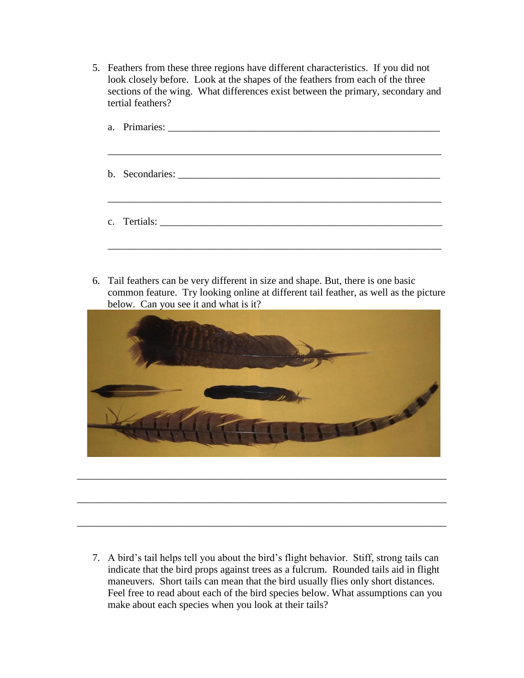5. Feathers from these three regions have different characteristics. If you did not look closely before. Look at the shapes of the feathers from each of the three sections of the wing. What differences exist between the primary, secondary and tertial feathers?

6. Tail feathers can be very different in size and shape. But, there is one basic common feature. Try looking online at different tail feather, as well as the picture below. Can you see it and what is it?



\_\_\_\_\_\_\_\_\_\_\_\_\_\_\_\_\_\_\_\_\_\_\_\_\_\_\_\_\_\_\_\_\_\_\_\_\_\_\_\_\_\_\_\_\_\_\_\_\_\_\_\_\_\_\_\_\_\_\_\_\_\_\_\_\_\_\_\_\_\_\_\_

\_\_\_\_\_\_\_\_\_\_\_\_\_\_\_\_\_\_\_\_\_\_\_\_\_\_\_\_\_\_\_\_\_\_\_\_\_\_\_\_\_\_\_\_\_\_\_\_\_\_\_\_\_\_\_\_\_\_\_\_\_\_\_\_\_\_\_\_\_\_\_\_

\_\_\_\_\_\_\_\_\_\_\_\_\_\_\_\_\_\_\_\_\_\_\_\_\_\_\_\_\_\_\_\_\_\_\_\_\_\_\_\_\_\_\_\_\_\_\_\_\_\_\_\_\_\_\_\_\_\_\_\_\_\_\_\_\_\_\_\_\_\_\_\_

7. A bird's tail helps tell you about the bird's flight behavior. Stiff, strong tails can indicate that the bird props against trees as a fulcrum. Rounded tails aid in flight maneuvers. Short tails can mean that the bird usually flies only short distances. Feel free to read about each of the bird species below. What assumptions can you make about each species when you look at their tails?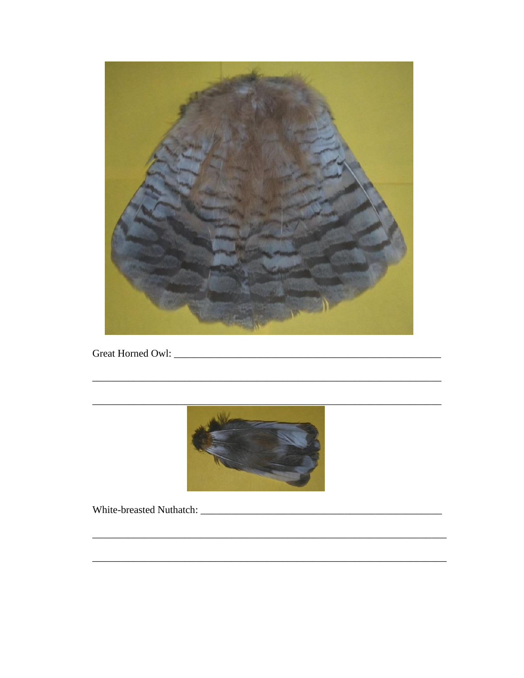

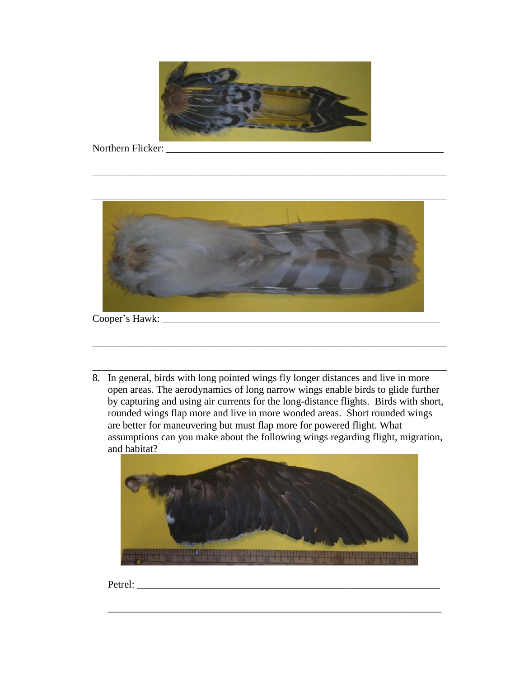

\_\_\_\_\_\_\_\_\_\_\_\_\_\_\_\_\_\_\_\_\_\_\_\_\_\_\_\_\_\_\_\_\_\_\_\_\_\_\_\_\_\_\_\_\_\_\_\_\_\_\_\_\_\_\_\_\_\_\_\_\_\_\_\_\_\_\_\_\_

Northern Flicker:



8. In general, birds with long pointed wings fly longer distances and live in more open areas. The aerodynamics of long narrow wings enable birds to glide further by capturing and using air currents for the long-distance flights. Birds with short, rounded wings flap more and live in more wooded areas. Short rounded wings are better for maneuvering but must flap more for powered flight. What assumptions can you make about the following wings regarding flight, migration, and habitat?

\_\_\_\_\_\_\_\_\_\_\_\_\_\_\_\_\_\_\_\_\_\_\_\_\_\_\_\_\_\_\_\_\_\_\_\_\_\_\_\_\_\_\_\_\_\_\_\_\_\_\_\_\_\_\_\_\_\_\_\_\_\_\_\_\_\_\_\_\_

\_\_\_\_\_\_\_\_\_\_\_\_\_\_\_\_\_\_\_\_\_\_\_\_\_\_\_\_\_\_\_\_\_\_\_\_\_\_\_\_\_\_\_\_\_\_\_\_\_\_\_\_\_\_\_\_\_\_\_\_\_\_\_\_\_\_\_\_\_



\_\_\_\_\_\_\_\_\_\_\_\_\_\_\_\_\_\_\_\_\_\_\_\_\_\_\_\_\_\_\_\_\_\_\_\_\_\_\_\_\_\_\_\_\_\_\_\_\_\_\_\_\_\_\_\_\_\_\_\_\_\_\_\_\_

Petrel: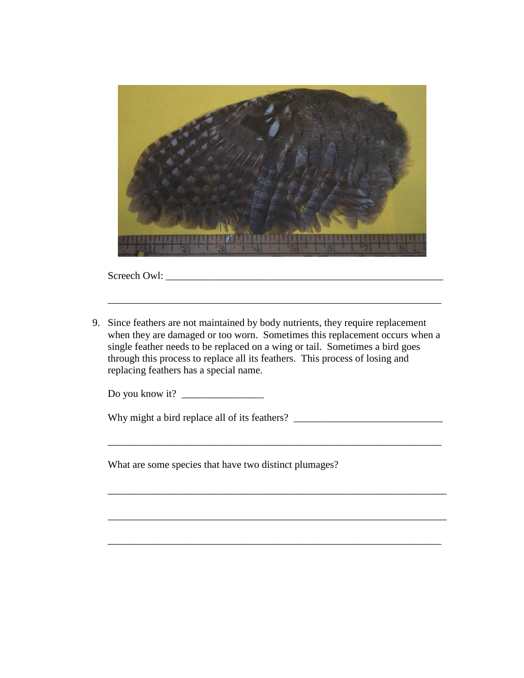

Screech Owl: \_\_\_\_\_\_\_\_\_\_\_\_\_\_\_\_\_\_\_\_\_\_\_\_\_\_\_\_\_\_\_\_\_\_\_\_\_\_\_\_\_\_\_\_\_\_\_\_\_\_\_\_\_\_

9. Since feathers are not maintained by body nutrients, they require replacement when they are damaged or too worn. Sometimes this replacement occurs when a single feather needs to be replaced on a wing or tail. Sometimes a bird goes through this process to replace all its feathers. This process of losing and replacing feathers has a special name.

\_\_\_\_\_\_\_\_\_\_\_\_\_\_\_\_\_\_\_\_\_\_\_\_\_\_\_\_\_\_\_\_\_\_\_\_\_\_\_\_\_\_\_\_\_\_\_\_\_\_\_\_\_\_\_\_\_\_\_\_\_\_\_\_\_

\_\_\_\_\_\_\_\_\_\_\_\_\_\_\_\_\_\_\_\_\_\_\_\_\_\_\_\_\_\_\_\_\_\_\_\_\_\_\_\_\_\_\_\_\_\_\_\_\_\_\_\_\_\_\_\_\_\_\_\_\_\_\_\_\_\_

\_\_\_\_\_\_\_\_\_\_\_\_\_\_\_\_\_\_\_\_\_\_\_\_\_\_\_\_\_\_\_\_\_\_\_\_\_\_\_\_\_\_\_\_\_\_\_\_\_\_\_\_\_\_\_\_\_\_\_\_\_\_\_\_\_\_

\_\_\_\_\_\_\_\_\_\_\_\_\_\_\_\_\_\_\_\_\_\_\_\_\_\_\_\_\_\_\_\_\_\_\_\_\_\_\_\_\_\_\_\_\_\_\_\_\_\_\_\_\_\_\_\_\_\_\_\_\_\_\_\_\_

\_\_\_\_\_\_\_\_\_\_\_\_\_\_\_\_\_\_\_\_\_\_\_\_\_\_\_\_\_\_\_\_\_\_\_\_\_\_\_\_\_\_\_\_\_\_\_\_\_\_\_\_\_\_\_\_\_\_\_\_\_\_\_\_\_

Do you know it? \_\_\_\_\_\_\_\_\_\_\_\_\_\_\_\_

Why might a bird replace all of its feathers?

What are some species that have two distinct plumages?